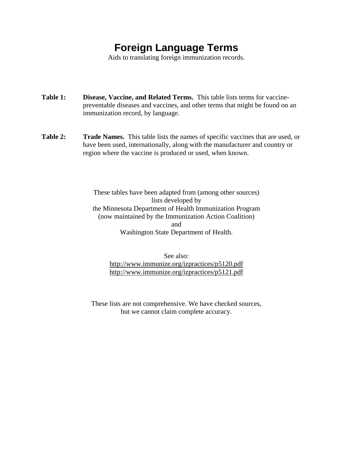## **Foreign Language Terms**

Aids to translating foreign immunization records.

- **Table 1: Disease, Vaccine, and Related Terms.** This table lists terms for vaccinepreventable diseases and vaccines, and other terms that might be found on an immunization record, by language.
- **Table 2: Trade Names.** This table lists the names of specific vaccines that are used, or have been used, internationally, along with the manufacturer and country or region where the vaccine is produced or used, when known.

These tables have been adapted from (among other sources) lists developed by the Minnesota Department of Health Immunization Program (now maintained by the Immunization Action Coalition) and Washington State Department of Health.

See also: http://www.immunize.org/izpractices/p5120.pdf http://www.immunize.org/izpractices/p5121.pdf

These lists are not comprehensive. We have checked sources, but we cannot claim complete accuracy.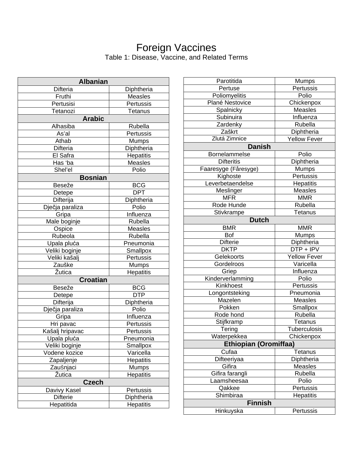## Foreign Vaccines Table 1: Disease, Vaccine, and Related Terms

| <b>Albanian</b> |                  |  |
|-----------------|------------------|--|
| Difteria        | Diphtheria       |  |
| Fruthi          | <b>Measles</b>   |  |
| Pertusisi       | Pertussis        |  |
| Tetanozi        | Tetanus          |  |
| <b>Arabic</b>   |                  |  |
| Alhasiba        | Rubella          |  |
| As'al           | Pertussis        |  |
| Athab           | <b>Mumps</b>     |  |
| Difteria        | Diphtheria       |  |
| El Safra        | Hepatitis        |  |
| Has 'ba         | Measles          |  |
| Shel'el         | Polio            |  |
| <b>Bosnian</b>  |                  |  |
| Beseže          | <b>BCG</b>       |  |
| Detepe          | <b>DPT</b>       |  |
| Difterija       | Diphtheria       |  |
| Dječja paraliza | Polio            |  |
| Gripa           | Influenza        |  |
| Male boginje    | Rubella          |  |
| Ospice          | <b>Measles</b>   |  |
| Rubeola         | Rubella          |  |
| Upala pluća     | Pneumonia        |  |
| Veliki boginje  | Smallpox         |  |
| Veliki kašalj   | Pertussis        |  |
| Zauške          | Mumps            |  |
| <b>Zutica</b>   | Hepatitis        |  |
| <b>Croatian</b> |                  |  |
| Beseže          | <b>BCG</b>       |  |
| Detepe          | <b>DTP</b>       |  |
| Difterija       | Diphtheria       |  |
| Dječja paraliza | Polio            |  |
| Gripa           | Influenza        |  |
| Hri pavac       | Pertussis        |  |
| Kašalj hripavac | Pertussis        |  |
| Upala pluća     | Pneumonia        |  |
| Veliki boginje  | Smallpox         |  |
| Vodene kozice   | Varicella        |  |
| Zapaljenje      | <b>Hepatitis</b> |  |
| Zaušnjaci       | <b>Mumps</b>     |  |
| Žutica          | <b>Hepatitis</b> |  |
| <b>Czech</b>    |                  |  |
| Davivy Kasel    | Pertussis        |  |
| <b>Difterie</b> | Diphtheria       |  |
| Hepatitida      | Hepatitis        |  |

| Parotitida                   | Mumps               |  |
|------------------------------|---------------------|--|
| Pertuse                      | Pertussis           |  |
| Poliomyelitis                | Polio               |  |
| Plané Nestovice              | Chickenpox          |  |
| Spalnicky                    | <b>Measles</b>      |  |
| Subinuira                    | Influenza           |  |
| Zardenky                     | Rubella             |  |
| Zaškrt                       | Diphtheria          |  |
| Zlutá Zimnice                | <b>Yellow Fever</b> |  |
| <b>Danish</b>                |                     |  |
| Bornelammelse                | Polio               |  |
| <b>Difteritis</b>            | Diphtheria          |  |
| Faaresyge (Fåresyge)         | Mumps               |  |
| Kighoste                     | Pertussis           |  |
| Leverbetaendelse             | Hepatitis           |  |
| Meslinger                    | Measles             |  |
| <b>MFR</b>                   | <b>MMR</b>          |  |
| Rode Hunde                   | Rubella             |  |
|                              | Tetanus             |  |
| Stivkrampe                   |                     |  |
| <b>Dutch</b>                 |                     |  |
| <b>BMR</b>                   | <b>MMR</b>          |  |
| Bof                          | <b>Mumps</b>        |  |
| <b>Difterie</b>              | Diphtheria          |  |
| <b>DKTP</b>                  | DTP + IPV           |  |
| Gelekoorts                   | <b>Yellow Fever</b> |  |
| Gordelroos                   | Varicella           |  |
| Griep                        | Influenza           |  |
| Kinderverlamming             | Polio               |  |
| Kinkhoest                    | Pertussis           |  |
| Longontsteking               | Pneumonia           |  |
| Mazelen                      | <b>Measles</b>      |  |
| Pokken                       | Smallpox            |  |
| Rode hond                    | Rubella             |  |
| Stijfkramp                   | Tetanus             |  |
| Tering                       | <b>Tuberculosis</b> |  |
| Waterpekkea                  | Chickenpox          |  |
| <b>Ethiopian (Oromiffaa)</b> |                     |  |
| Cufaa                        | Tetanus             |  |
| Difteeriyaa                  | Diphtheria          |  |
| Gifira                       | Measles             |  |
| Gifira farangli              | Rubella             |  |
| aamsheesaa                   | Polio               |  |
| Qakkee                       | Pertussis           |  |
| Shimbiraa                    | Hepatitis           |  |
| <b>Finnish</b>               |                     |  |
| Hinkuyska<br>Pertussis       |                     |  |
|                              |                     |  |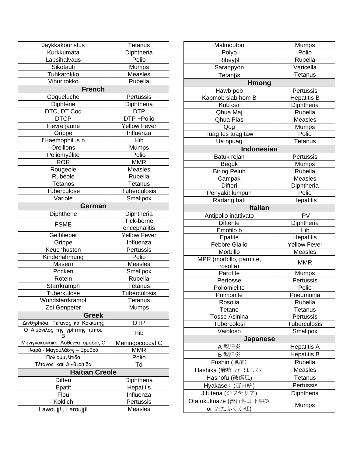| Jaykkakouristus                      | Tetanus             |  |
|--------------------------------------|---------------------|--|
| Kurkkumata                           | Diphtheria          |  |
| Lapsihalvaus                         | Polio               |  |
| Sikotauti                            | Mumps               |  |
| Tuhkarokko                           | Measles             |  |
| Vihurirokko                          | Rubella             |  |
| <b>French</b>                        |                     |  |
| Coqueluche                           | Pertussis           |  |
| Diphtérie                            | Diphtheria          |  |
| DTC, DT Coq                          | <b>DTP</b>          |  |
| <b>DTCP</b>                          | DTP +Polio          |  |
| Fievre jaune                         | Yellow Fever        |  |
| Grippe                               | Influenza           |  |
| l'Haemophilus b                      | Hib                 |  |
| Oreillons                            | Mumps               |  |
| Poliomyélite                         | Polio               |  |
| <b>ROR</b>                           | <b>MMR</b>          |  |
| Rougeole                             | <b>Measles</b>      |  |
| Rubéole                              | Rubella             |  |
| Tétanos                              | Tetanus             |  |
| <b>Tuberculose</b>                   | <b>Tuberculosis</b> |  |
| Variole                              | Smallpox            |  |
| German                               |                     |  |
| Diphtherie                           | Diphtheria          |  |
|                                      | Tick-borne          |  |
| <b>FSME</b>                          | encephalitis        |  |
| Gelbfieber                           | Yellow Fever        |  |
| Grippe                               | Influenza           |  |
| Keuchhusten                          | Pertussis           |  |
| Kinderlähmung                        | Polio               |  |
| Masern                               | <b>Measles</b>      |  |
| Pocken                               | Smallpox            |  |
| Röteln                               | Rubella             |  |
| Starrkramph                          | Tetanus             |  |
| Tuberkulose                          | Tuberculosis        |  |
| Wundstarrkrampf                      | Tetanus             |  |
| Zei Genpeter                         | Mumps               |  |
| <b>Greek</b>                         |                     |  |
| Δινθγρίτιδα, Τέτανος και Κοκκύτης    | <b>DTP</b>          |  |
| Ο Αιμόνιλος της γρίππης τύπου        | Hib                 |  |
| в<br>Μηνιγγοκοκκική Ασθένγα ομάδας C | Meningococcal C     |  |
| Ιλαρά - Μαγουλάδγς - Ερυθρά          | <b>MMR</b>          |  |
| Πολιομυγλίτιδα                       | Polio               |  |
| Τέτανος και Δινθγρίτιδα              | Td                  |  |
| <b>Haitian Creole</b>                |                     |  |
| Difteri                              | Diphtheria          |  |
| Epatit                               | Hepatitis           |  |
| Flou                                 | <b>Influenza</b>    |  |
| Koklich                              | Pertussis           |  |
| Lawoujßl, Laroujßl                   | Measles             |  |
|                                      |                     |  |

| Malmouton                   | Mumps               |  |
|-----------------------------|---------------------|--|
| Polyo                       | Polio               |  |
| $Ribey\beta$                | Rubella             |  |
| Saranpyon                   | Varicella           |  |
| Tetanβs                     | Tetanus             |  |
| <b>Hmong</b>                |                     |  |
| Hawb pob                    | Pertussis           |  |
| Kabmob siab hom B           | <b>Hepatitis B</b>  |  |
| Kub cer                     | Diphtheria          |  |
| Qhua Maj                    | Rubella             |  |
| Qhua Pias                   | <b>Measles</b>      |  |
| Qog                         | Mumps               |  |
| Tuag tes tuag taw           | Polio               |  |
| Ua npuag                    | Tetanus             |  |
| <b>Indonesian</b>           |                     |  |
| Batuk rejan                 | Pertussis           |  |
| <b>Beguk</b>                | <b>Mumps</b>        |  |
| <b>Biring Peluh</b>         | Rubella             |  |
| Campak                      | Measles             |  |
| Difteri                     | Diphtheria          |  |
| Penyakit lumpuh             | Polio               |  |
| Radang hati                 | Hepatitis           |  |
| <b>Italian</b>              |                     |  |
| Antipolio inattivato        | <b>IPV</b>          |  |
| <b>Difterite</b>            | Diphtheria          |  |
| Emofilo b                   | Hib                 |  |
| Epatite                     | Hepatitis           |  |
| <b>Febbre Giallo</b>        | <b>Yellow Fever</b> |  |
| Morbillo                    | Measles             |  |
| MPR (morbillo, parotite,    |                     |  |
| rosolia)                    | <b>MMR</b>          |  |
| Parotite                    | <b>Mumps</b>        |  |
| Pertosse                    | Pertussis           |  |
| Poliomielite                | Polio               |  |
| Polmonite                   | Pneumonia           |  |
| Rosolia                     | Rubella             |  |
| Tetano                      | Tetanus             |  |
| Tosse Asinina               | Pertussis           |  |
| Tubercolosi                 | <b>Tuberculosis</b> |  |
| Vaioloso                    | Smallpox            |  |
| Japanese                    |                     |  |
| A 型肝炎<br><b>Hepatitis A</b> |                     |  |
| B 型肝炎                       | <b>Hepatitis B</b>  |  |
| Fushin (風疹)                 | Rubella             |  |
|                             |                     |  |
| Hashika (麻疹 or はしか)         | Measles             |  |
| Hashofu (破傷風)               | <b>Tetanus</b>      |  |
| Hyakaseki (百日咳)             | Pertussis           |  |
| Jifuteria (ジフテリア)           | Diphtheria          |  |
| Otafukukuaze (流行性耳下腺炎       | Mumps               |  |
| or おたふくかぜ)                  |                     |  |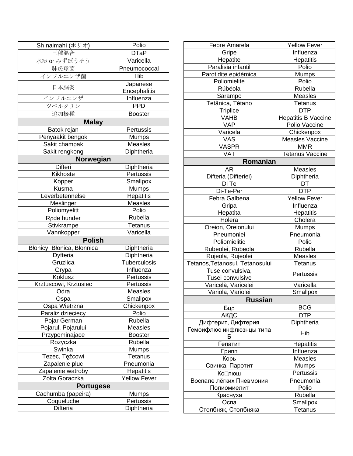| Sh naimahi (ポリオ)                 | Polio                     |  |
|----------------------------------|---------------------------|--|
| 三種混合                             | <b>DTaP</b>               |  |
| 水痘 or みずぼうそう                     | Varicella                 |  |
| 肺炎球菌                             | Pneumococcal              |  |
| インフルエンザ菌                         | Hib                       |  |
|                                  | Japanese                  |  |
| 日本脳炎                             | Encephalitis              |  |
| インフルエンザ                          | Influenza                 |  |
| ツベルクリン                           | <b>PPD</b>                |  |
| 追加接種                             | <b>Booster</b>            |  |
| <b>Malay</b>                     |                           |  |
| Batok rejan                      | Pertussis                 |  |
| Penyaakit bengok                 | Mumps                     |  |
| Sakit champak                    | <b>Measles</b>            |  |
| Sakit rengkong                   | Diphtheria                |  |
| Norwegian                        |                           |  |
| Difteri                          | Diphtheria                |  |
| Kikhoste                         | Pertussis                 |  |
| Kopper                           | Smallpox                  |  |
| Kusma                            | <b>Mumps</b>              |  |
| Leverbetennelse                  | Hepatitis                 |  |
| Meslinger                        | Measles                   |  |
| Poliomyelitt                     | Polio                     |  |
| R <sub>p</sub> de hunder         | Rubella                   |  |
| Stivkrampe                       | Tetanus                   |  |
| Vannkopper                       | Varicella                 |  |
| <b>Polish</b>                    |                           |  |
| Błonicy, Błonica, Błonnica       | Diphtheria                |  |
| Dyfteria                         | Diphtheria                |  |
| Gruzlica                         | Tuberculosis              |  |
| Grypa                            | Influenza                 |  |
| Koklusz                          | Pertussis                 |  |
| Krztuscowi, Krztusiec            | Pertussis                 |  |
| Odra                             | Measles                   |  |
| Ospa                             | Smallpox                  |  |
| Ospa Wietrzna                    | Chickenpox                |  |
| Paraliz dzieciecy                | Polio                     |  |
| Pojar German                     | Rubella                   |  |
| Pojarul, Pojarului               | Measles                   |  |
| Przypominajace                   | <b>Booster</b><br>Rubella |  |
| Rozyczka<br>Swinka               |                           |  |
| Tezec, Tęžcowi                   | Mumps<br>Tetanus          |  |
| Zapalenie pluc                   | Pneumonia                 |  |
| Zapalenie watroby                | <b>Hepatitis</b>          |  |
| Zólta Goraczka                   | <b>Yellow Fever</b>       |  |
| <b>Portugese</b>                 |                           |  |
|                                  |                           |  |
| Cachumba (papeira)<br>Coqueluche | Mumps<br>Pertussis        |  |
| Difteria                         | Diphtheria                |  |
|                                  |                           |  |

| Febre Amarela                   | <b>Yellow Fever</b>    |
|---------------------------------|------------------------|
| Gripe                           | Influenza              |
| Hepatite                        | Hepatitis              |
| Paralisia infantil              | Polio                  |
| Parotidite epidémica            | Mumps                  |
| Poliomielite                    | Polio                  |
| Rúbéola                         | Rubella                |
| Sarampo                         | <b>Measles</b>         |
| Tetânica, Tétano                | Tetanus                |
| <b>Triplice</b>                 | <b>DTP</b>             |
| <b>VAHB</b>                     | Hepatitis B Vaccine    |
| VAP                             | Polio Vaccine          |
| Varicela                        | Chickenpox             |
| VAS                             | Measles Vaccine        |
| VASPR                           | <b>MMR</b>             |
| VAT                             | <b>Tetanus Vaccine</b> |
| Romanian                        |                        |
| <b>AR</b>                       | <b>Measles</b>         |
| Difteria (Difteriei)            | Diphtheria             |
| Di Te                           | DT                     |
| Di-Te-Per                       | <b>DTP</b>             |
| Febra Galbena                   | <b>Yellow Fever</b>    |
| Gripa                           | Influenza              |
| Hepatita                        | Hepatitis              |
| Holera                          | Cholera                |
| Oreion, Oreionului              | <b>Mumps</b>           |
| Pneumoniei                      | Pneumonia              |
| Poliomielitic                   | Polio                  |
| Rubeolei, Rubeola               | Rubella                |
| Rujeola, Rujeolei               | <b>Measles</b>         |
| Tetanos, Tetanosul, Tetanosului | <b>Tetanus</b>         |
| Tuse convulsiva,                |                        |
| Tusei convulsive                | Pertussis              |
| Varicelă, Varicelei             | Varicella              |
| Variola, Variolei               | Smallpox               |
| <b>Russian</b>                  |                        |
|                                 |                        |
| Бцр                             | <b>BCG</b>             |
| АКДС                            | <b>DTP</b>             |
| Ди <u>фтерит, Дифтерия</u>      | Diphtheria             |
| Гемоифлюс инфлюзнцы типа<br>Б   | Hib                    |
| Гепатит                         | Hepatitis              |
| Грипп                           | Influenza              |
| Корь                            | <b>Measles</b>         |
| Свинка, Паротит                 | <b>Mumps</b>           |
| Ко⊡люш                          | Pertussis              |
| Воспале лёгких Пневмония        | Pneumonia              |
| Полиомиелит                     | Polio                  |
| Краснуха                        | Rubella                |
| Оспа                            | Smallpox               |
| Столбняк, Столбняка             | Tetanus                |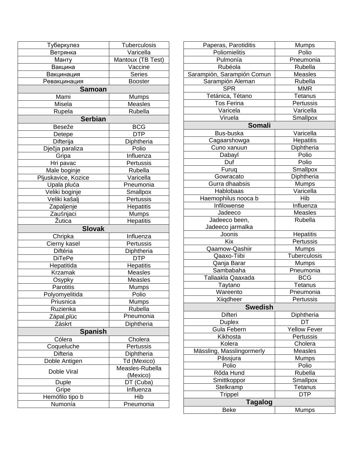| Туберкулез          | <b>Tuberculosis</b> |  |
|---------------------|---------------------|--|
| Ветрянка            | Varicella           |  |
| Манту               | Mantoux (TB Test)   |  |
| Вакцина             | Vaccine             |  |
| Вакцинация          | <b>Series</b>       |  |
| Ревакцинация        | <b>Booster</b>      |  |
| <b>Samoan</b>       |                     |  |
| Mami                | Mumps               |  |
| Misela              | <b>Measles</b>      |  |
| Rupela              | Rubella             |  |
| <b>Serbian</b>      |                     |  |
| Beseže              | <b>BCG</b>          |  |
| Detepe              | <b>DTP</b>          |  |
| Difterija           | Diphtheria          |  |
| Dječja paraliza     | Polio               |  |
| Gripa               | Influenza           |  |
| Hri pavac           | Pertussis           |  |
| Male boginje        | Rubella             |  |
| Pljuskavice, Kozice | Varicella           |  |
| Upala pluća         | Pneumonia           |  |
| Veliki boginje      | Smallpox            |  |
| Veliki kašalj       | Pertussis           |  |
|                     |                     |  |
| Zapaljenje          | Hepatitis           |  |
| Zaušnjaci           | <b>Mumps</b>        |  |
| Žutica              | <b>Hepatitis</b>    |  |
| <b>Slovak</b>       |                     |  |
| Chripka             | Influenza           |  |
| Cierny kasel        | Pertussis           |  |
| Diftéria            | Diphtheria          |  |
| <b>DiTePe</b>       | <b>DTP</b>          |  |
| Hepatitida          | Hepatitis           |  |
| <b>Krzamak</b>      | <b>Measles</b>      |  |
| Osypky              | <b>Measles</b>      |  |
| <b>Parotitis</b>    | Mumps               |  |
| Polyomyelitida      | Polio               |  |
| Priusnica           | Mumps               |  |
| Ruzienka            | Rubella             |  |
| Zápal,plüc          | Pneumonia           |  |
| Záskrt              | Diphtheria          |  |
| <b>Spanish</b>      |                     |  |
| Cólera              | Cholera             |  |
| Coqueluche          | Pertussis           |  |
| Difteria            | Diphtheria          |  |
| Doble Antigen       | Td (Mexico)         |  |
| Doble Viral         | Measles-Rubella     |  |
|                     | (Mexico)            |  |
| Duple               | DT (Cuba)           |  |
| Gripe               | Influenza           |  |
| Hemófilo tipo b     | Hib                 |  |
| Numonía             | Pneumonia           |  |

| Paperas, Parotiditis       | <b>Mumps</b>        |
|----------------------------|---------------------|
| Poliomielitis              | Polio               |
| Pulmonía                   | Pneumonia           |
| Rubéola                    | Rubella             |
| Sarampión, Sarampión Comun | <b>Measles</b>      |
| Sarampión Aleman           | Rubella             |
| <b>SPR</b>                 | <b>MMR</b>          |
| Tetánica, Tétano           | Tetanus             |
| <b>Tos Ferina</b>          | Pertussis           |
| Varicela                   | Varicella           |
| Viruela                    | Smallpox            |
| <b>Somali</b>              |                     |
| Bus-buska                  | Varicella           |
| Cagaarshowga               | Hepatitis           |
| Cuno xanuun                | Diphtheria          |
| Dabayl                     | Polio               |
| Duf                        | Polio               |
| Furuq                      | Smallpox            |
| Gowracato                  | Diphtheria          |
| Gurra dhaabsis             | Mumps               |
| Hablobaas                  | Varicella           |
| Haemophilus nooca b        | Hib                 |
| Infilowense                | Influenza           |
| Jadeeco                    | Measles             |
| Jadeeco been,              | Rubella             |
| Jadeeco jarmalka           |                     |
| Joonis                     | Hepatitis           |
| <b>Kix</b>                 | Pertussis           |
| Qaamow-Qashiir             | <b>Mumps</b>        |
| Qaaxo-Tiibi                | Tuberculosis        |
| Qanja Barar                | Mumps               |
| Sambabaha                  | Pneumonia           |
| Tallaakla Qaaxada          | <b>BCG</b>          |
| Taytano                    | Tetanus             |
| Wareento                   | Pneumonia           |
| Xiigdheer                  | Pertussis           |
| <b>Swedish</b>             |                     |
| Difteri                    | Diphtheria          |
| <b>Duplex</b>              | DT                  |
| <b>Gula Febern</b>         | <b>Yellow Fever</b> |
| Kikhosta                   | Pertussis           |
| Kolera                     | Cholera             |
| Mässling, Masslingormerly  | <b>Measles</b>      |
| Păssjura                   | <b>Mumps</b>        |
| Polio                      | Polio               |
| Rőda Hund                  | Rubella             |
| Smittkoppor                | Smallpox            |
| Stelkramp                  | <b>Tetanus</b>      |
| Trippel                    | <b>DTP</b>          |
| <b>Tagalog</b>             |                     |
| <b>Beke</b>                | Mumps               |
|                            |                     |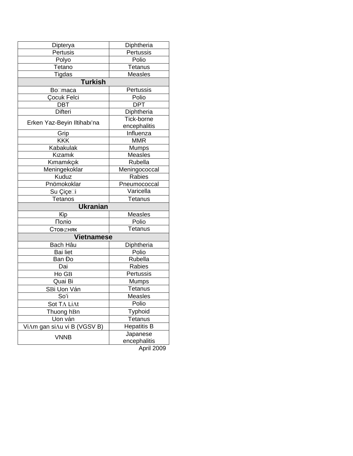| Dipterya                    | Diphtheria                 |  |
|-----------------------------|----------------------------|--|
| Pertusis                    | Pertussis                  |  |
| Polyo                       | Polio                      |  |
| Tetano                      | Tetanus                    |  |
| Tigdas                      | <b>Measles</b>             |  |
| Turkish                     |                            |  |
| Bo⊟maca                     | Pertussis                  |  |
| Çocuk Felci                 | Polio                      |  |
| <b>DBT</b>                  | <b>DPT</b>                 |  |
| <b>Difteri</b>              | Diphtheria                 |  |
| Erken Yaz-Beyin Iltihabı'na | Tick-borne<br>encephalitis |  |
| Grip                        | Influenza                  |  |
| <b>KKK</b>                  | <b>MMR</b>                 |  |
| Kabakulak                   | Mumps                      |  |
| Kızamık                     | Measles                    |  |
| Kımamıkçık                  | Rubella                    |  |
| Meningekoklar               | Meningococcal              |  |
| Kuduz                       | Rabies                     |  |
| Pnömokoklar                 | Pneumococcal               |  |
| Su Çiçe⊡i                   | Varicella                  |  |
| <b>Tetanos</b>              | Tetanus                    |  |
| <b>Ukranian</b>             |                            |  |
| Kip                         | <b>Measles</b>             |  |
| Поліо                       | Polio                      |  |
| Стов⊄няк                    | <b>Tetanus</b>             |  |
| <b>Vietnamese</b>           |                            |  |
| Bach Hâu                    | Diphtheria                 |  |
| <b>Bai liet</b>             | Polio                      |  |
| Ban Đo                      | Rubella                    |  |
| Dai                         | Rabies                     |  |
| Ho GB                       | Pertussis                  |  |
| Quai Bi                     | <b>Mumps</b>               |  |
| SBi Uon Ván                 | Tetanus                    |  |
| So'i                        | <b>Measles</b>             |  |
| Sot TA LiAt                 | Polio                      |  |
| Thuong hBn                  | Typhoid                    |  |
| Uon ván                     | Tetanus                    |  |
| ViAm gan siAu vi B (VGSV B) | <b>Hepatitis B</b>         |  |
| <b>VNNB</b>                 | Japanese<br>encephalitis   |  |

April 2009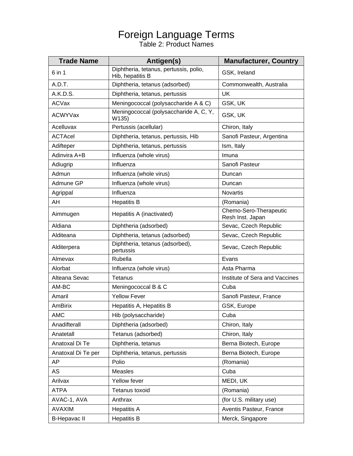## Foreign Language Terms

Table 2: Product Names

| <b>Trade Name</b>   | Antigen(s)                                                 | <b>Manufacturer, Country</b>               |
|---------------------|------------------------------------------------------------|--------------------------------------------|
| 6 in 1              | Diphtheria, tetanus, pertussis, polio,<br>Hib, hepatitis B | GSK, Ireland                               |
| A.D.T.              | Diphtheria, tetanus (adsorbed)                             | Commonwealth, Australia                    |
| A.K.D.S.            | Diphtheria, tetanus, pertussis                             | <b>UK</b>                                  |
| ACVax               | Meningococcal (polysaccharide A & C)                       | GSK, UK                                    |
| <b>ACWYVax</b>      | Meningococcal (polysaccharide A, C, Y,<br>W135)            | GSK, UK                                    |
| Acelluvax           | Pertussis (acellular)                                      | Chiron, Italy                              |
| <b>ACTAcel</b>      | Diphtheria, tetanus, pertussis, Hib                        | Sanofi Pasteur, Argentina                  |
| Adifteper           | Diphtheria, tetanus, pertussis                             | Ism, Italy                                 |
| Adinvira A+B        | Influenza (whole virus)                                    | Imuna                                      |
| Adiugrip            | Influenza                                                  | Sanofi Pasteur                             |
| Admun               | Influenza (whole virus)                                    | Duncan                                     |
| Admune GP           | Influenza (whole virus)                                    | Duncan                                     |
| Agrippal            | Influenza                                                  | Novartis                                   |
| AH                  | <b>Hepatitis B</b>                                         | (Romania)                                  |
| Aimmugen            | Hepatitis A (inactivated)                                  | Chemo-Sero-Therapeutic<br>Resh Inst. Japan |
| Aldiana             | Diphtheria (adsorbed)                                      | Sevac, Czech Republic                      |
| Alditeana           | Diphtheria, tetanus (adsorbed)                             | Sevac, Czech Republic                      |
| Alditerpera         | Diphtheria, tetanus (adsorbed),<br>pertussis               | Sevac, Czech Republic                      |
| Almevax             | Rubella                                                    | Evans                                      |
| Alorbat             | Influenza (whole virus)                                    | Asta Pharma                                |
| Alteana Sevac       | Tetanus                                                    | Institute of Sera and Vaccines             |
| AM-BC               | Meningococcal B & C                                        | Cuba                                       |
| Amaril              | <b>Yellow Fever</b>                                        | Sanofi Pasteur, France                     |
| <b>AmBirix</b>      | Hepatitis A, Hepatitis B                                   | GSK, Europe                                |
| <b>AMC</b>          | Hib (polysaccharide)                                       | Cuba                                       |
| Anadifterall        | Diphtheria (adsorbed)                                      | Chiron, Italy                              |
| Anatetall           | Tetanus (adsorbed)                                         | Chiron, Italy                              |
| Anatoxal Di Te      | Diphtheria, tetanus                                        | Berna Biotech, Europe                      |
| Anatoxal Di Te per  | Diphtheria, tetanus, pertussis                             | Berna Biotech, Europe                      |
| AP                  | Polio                                                      | (Romania)                                  |
| AS                  | Measles                                                    | Cuba                                       |
| Arilvax             | Yellow fever                                               | MEDI, UK                                   |
| <b>ATPA</b>         | Tetanus toxoid                                             | (Romania)                                  |
| AVAC-1, AVA         | Anthrax                                                    | (for U.S. military use)                    |
| <b>AVAXIM</b>       | <b>Hepatitis A</b>                                         | Aventis Pasteur, France                    |
| <b>B-Hepavac II</b> | <b>Hepatitis B</b>                                         | Merck, Singapore                           |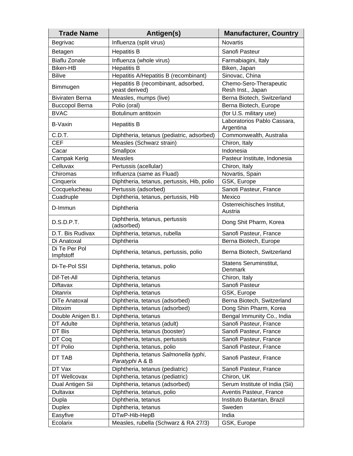| <b>Trade Name</b>          | Antigen(s)                                               | <b>Manufacturer, Country</b>                |
|----------------------------|----------------------------------------------------------|---------------------------------------------|
| Begrivac                   | Influenza (split virus)                                  | <b>Novartis</b>                             |
| Betagen                    | <b>Hepatitis B</b>                                       | Sanofi Pasteur                              |
| <b>Biaflu Zonale</b>       | Influenza (whole virus)                                  | Farmabiagini, Italy                         |
| <b>Biken-HB</b>            | <b>Hepatitis B</b>                                       | Biken, Japan                                |
| <b>Bilive</b>              | Hepatitis A/Hepatitis B (recombinant)                    | Sinovac, China                              |
| Bimmugen                   | Hepatitis B (recombinant, adsorbed,<br>yeast derived)    | Chemo-Sero-Therapeutic<br>Resh Inst., Japan |
| <b>Biviraten Berna</b>     | Measles, mumps (live)                                    | Berna Biotech, Switzerland                  |
| <b>Buccopol Berna</b>      | Polio (oral)                                             | Berna Biotech, Europe                       |
| <b>BVAC</b>                | Botulinum antitoxin                                      | (for U.S. military use)                     |
| B-Vaxin                    | <b>Hepatitis B</b>                                       | Laboratorios Pablo Cassara,<br>Argentina    |
| C.D.T.                     | Diphtheria, tetanus (pediatric, adsorbed)                | Commonwealth, Australia                     |
| <b>CEF</b>                 | Measles (Schwarz strain)                                 | Chiron, Italy                               |
| Cacar                      | Smallpox                                                 | Indonesia                                   |
| Campak Kerig               | <b>Measles</b>                                           | Pasteur Institute, Indonesia                |
| Celluvax                   | Pertussis (acellular)                                    | Chiron, Italy                               |
| Chiromas                   | Influenza (same as Fluad)                                | Novartis, Spain                             |
| Cinquerix                  | Diphtheria, tetanus, pertussis, Hib, polio               | GSK, Europe                                 |
| Cocquelucheau              | Pertussis (adsorbed)                                     | Sanoti Pasteur, France                      |
| Cuadruple                  | Diphtheria, tetanus, pertussis, Hib                      | Mexico                                      |
| D-Immun                    | Diphtheria                                               | Osterreichisches Institut,<br>Austria       |
| D.S.D.P.T.                 | Diphtheria, tetanus, pertussis<br>(adsorbed)             | Dong Shit Pharm, Korea                      |
| D.T. Bis Rudivax           | Diphtheria, tetanus, rubella                             | Sanofi Pasteur, France                      |
| Di Anatoxal                | Diphtheria                                               | Berna Biotech, Europe                       |
| Di Te Per Pol<br>Impfstoff | Diphtheria, tetanus, pertussis, polio                    | Berna Biotech, Switzerland                  |
| Di-Te-Pol SSI              | Diphtheria, tetanus, polio                               | <b>Statens Seruminstitut,</b><br>Denmark    |
| Dif-Tet-All                | Diphtheria, tetanus                                      | Chiron, Italy                               |
| Diftavax                   | Diphtheria, tetanus                                      | Sanofi Pasteur                              |
| <b>Ditanrix</b>            | Diphtheria, tetanus                                      | GSK, Europe                                 |
| DiTe Anatoxal              | Diphtheria, tetanus (adsorbed)                           | Berna Biotech, Switzerland                  |
| Ditoxim                    | Diphtheria, tetanus (adsorbed)                           | Dong Shin Pharm, Korea                      |
| Double Anigen B.I.         | Diphtheria, tetanus                                      | Bengal Immunity Co., India                  |
| DT Adulte                  | Diphtheria, tetanus (adult)                              | Sanofi Pasteur, France                      |
| DT Bis                     | Diphtheria, tetanus (booster)                            | Sanofi Pasteur, France                      |
| DT Coq                     | Diphtheria, tetanus, pertussis                           | Sanofi Pasteur, France                      |
| DT Polio                   | Diphtheria, tetanus, polio                               | Sanofi Pasteur, France                      |
| DT TAB                     | Diphtheria, tetanus Salmonella typhi,<br>Paratyphi A & B | Sanofi Pasteur, France                      |
| DT Vax                     | Diphtheria, tetanus (pediatric)                          | Sanofi Pasteur, France                      |
| DT Wellcovax               | Diphtheria, tetanus (pediatric)                          | Chiron, UK                                  |
| Dual Antigen Sii           | Diphtheria, tetanus (adsorbed)                           | Serum Institute of India (Sii)              |
| <b>Dultavax</b>            | Diphtheria, tetanus, polio                               | Aventis Pasteur, France                     |
| Dupla                      | Diphtheria, tetanus                                      | Instituto Butantan, Brazil                  |
| <b>Duplex</b>              | Diphtheria, tetanus                                      | Sweden                                      |
| Easyfive                   | DTwP-Hib-HepB                                            | India                                       |
| Ecolarix                   | Measles, rubella (Schwarz & RA 27/3)                     | GSK, Europe                                 |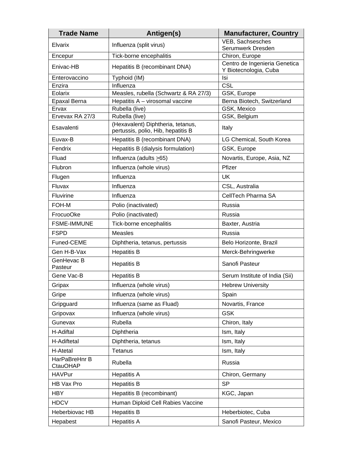| <b>Trade Name</b>                | Antigen(s)                                                              | <b>Manufacturer, Country</b>                           |
|----------------------------------|-------------------------------------------------------------------------|--------------------------------------------------------|
| Elvarix                          | Influenza (split virus)                                                 | VEB, Sachsesches<br>Serumwerk Dresden                  |
| Encepur                          | Tick-borne encephalitis                                                 | Chiron, Europe                                         |
| Enivac-HB                        | Hepatitis B (recombinant DNA)                                           | Centro de Ingenieria Genetica<br>Y Biotecnologia, Cuba |
| Enterovaccino                    | Typhoid (IM)                                                            | Isi                                                    |
| Enzira                           | Influenza                                                               | CSL                                                    |
| Eolarix                          | Measles, rubella (Schwartz & RA 27/3)                                   | GSK, Europe                                            |
| Epaxal Berna                     | Hepatitis A - virosomal vaccine                                         | Berna Biotech, Switzerland                             |
| Ervax<br>Ervevax RA 27/3         | Rubella (live)<br>Rubella (live)                                        | GSK, Mexico<br>GSK, Belgium                            |
| Esavalenti                       | (Hexavalent) Diphtheria, tetanus,<br>pertussis, polio, Hib, hepatitis B | Italy                                                  |
| Euvax-B                          | Hepatitis B (recombinant DNA)                                           | LG Chemical, South Korea                               |
| Fendrix                          | Hepatitis B (dialysis formulation)                                      | GSK, Europe                                            |
| Fluad                            | Influenza (adults $\geq 65$ )                                           | Novartis, Europe, Asia, NZ                             |
| Flubron                          | Influenza (whole virus)                                                 | Pfizer                                                 |
| Flugen                           | Influenza                                                               | UK                                                     |
| Fluvax                           | Influenza                                                               | CSL, Australia                                         |
| <b>Fluvirine</b>                 | Influenza                                                               | CellTech Pharma SA                                     |
| FOH-M                            | Polio (inactivated)                                                     | Russia                                                 |
| FrocuoOke                        | Polio (inactivated)                                                     | Russia                                                 |
| <b>FSME-IMMUNE</b>               | Tick-borne encephalitis                                                 | Baxter, Austria                                        |
| <b>FSPD</b>                      | <b>Measles</b>                                                          | Russia                                                 |
| Funed-CEME                       | Diphtheria, tetanus, pertussis                                          | Belo Horizonte, Brazil                                 |
| Gen H-B-Vax                      | <b>Hepatitis B</b>                                                      | Merck-Behringwerke                                     |
| GenHevac B<br>Pasteur            | <b>Hepatitis B</b>                                                      | Sanofi Pasteur                                         |
| Gene Vac-B                       | <b>Hepatitis B</b>                                                      | Serum Institute of India (Sii)                         |
| Gripax                           | Influenza (whole virus)                                                 | <b>Hebrew University</b>                               |
| Gripe                            | Influenza (whole virus)                                                 | Spain                                                  |
| Gripguard                        | Influenza (same as Fluad)                                               | Novartis, France                                       |
| Gripovax                         | Influenza (whole virus)                                                 | <b>GSK</b>                                             |
| Gunevax                          | Rubella                                                                 | Chiron, Italy                                          |
| H-Adiftal                        | Diphtheria                                                              | Ism, Italy                                             |
| H-Adiftetal                      | Diphtheria, tetanus                                                     | Ism, Italy                                             |
| H-Atetal                         | Tetanus                                                                 | Ism, Italy                                             |
| HarPaBreHnr B<br><b>CtauOHAP</b> | Rubella                                                                 | Russia                                                 |
| <b>HAVPur</b>                    | <b>Hepatitis A</b>                                                      | Chiron, Germany                                        |
| HB Vax Pro                       | <b>Hepatitis B</b>                                                      | <b>SP</b>                                              |
| <b>HBY</b>                       | Hepatitis B (recombinant)                                               | KGC, Japan                                             |
| <b>HDCV</b>                      | Human Diploid Cell Rabies Vaccine                                       |                                                        |
| Heberbiovac HB                   | <b>Hepatitis B</b>                                                      | Heberbiotec, Cuba                                      |
| Hepabest                         | <b>Hepatitis A</b>                                                      | Sanofi Pasteur, Mexico                                 |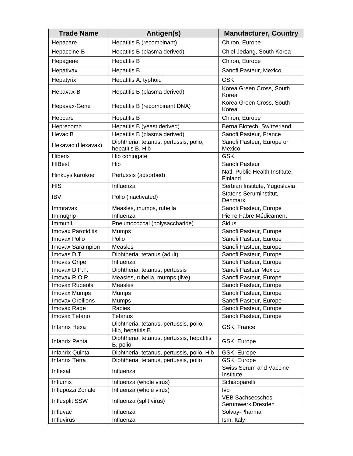| <b>Trade Name</b>         | Antigen(s)                                                 | <b>Manufacturer, Country</b>                 |
|---------------------------|------------------------------------------------------------|----------------------------------------------|
| Hepacare                  | Hepatitis B (recombinant)                                  | Chiron, Europe                               |
| Hepaccine-B               | Hepatitis B (plasma derived)                               | Chiel Jedang, South Korea                    |
| Hepagene                  | <b>Hepatitis B</b>                                         | Chiron, Europe                               |
| Hepativax                 | <b>Hepatitis B</b>                                         | Sanofi Pasteur, Mexico                       |
| Hepatyrix                 | Hepatitis A, typhoid                                       | <b>GSK</b>                                   |
|                           |                                                            |                                              |
| Hepavax-B                 | Hepatitis B (plasma derived)                               | Korea Green Cross, South<br>Korea            |
| Hepavax-Gene              | Hepatitis B (recombinant DNA)                              | Korea Green Cross, South<br>Korea            |
| Hepcare                   | <b>Hepatitis B</b>                                         | Chiron, Europe                               |
| Heprecomb                 | Hepatitis B (yeast derived)                                | Berna Biotech, Switzerland                   |
| Hevac B                   | Hepatitis B (plasma derived)                               | Sanofi Pasteur, France                       |
| Hexavac (Hexavax)         | Diphtheria, tetanus, pertussis, polio,<br>hepatitis B, Hib | Sanofi Pasteur, Europe or<br>Mexico          |
| Hiberix                   | Hib conjugate                                              | <b>GSK</b>                                   |
| <b>HIBest</b>             | Hib                                                        | Sanofi Pasteur                               |
| Hinkuys karokoe           | Pertussis (adsorbed)                                       | Natl. Public Health Institute,<br>Finland    |
| <b>HIS</b>                | Influenza                                                  | Serbian Institute, Yugoslavia                |
| <b>IBV</b>                | Polio (inactivated)                                        | Statens Seruminstitut,<br>Denmark            |
| Immravax                  | Measles, mumps, rubella                                    | Sanofi Pasteur, Europe                       |
| Immugrip                  | Influenza                                                  | Pierre Fabre Médicament                      |
| Immunil                   | Pneumococcal (polysaccharide)                              | <b>Sidus</b>                                 |
| <b>Imovax Parotiditis</b> | Mumps                                                      | Sanofi Pasteur, Europe                       |
| Imovax Polio              | Polio                                                      | Sanofi Pasteur, Europe                       |
| Imovax Sarampion          | <b>Measles</b>                                             | Sanofi Pasteur, Europe                       |
| Imovas D.T.               | Diphtheria, tetanus (adult)                                | Sanofi Pasteur, Europe                       |
| Imovas Gripe              | Influenza                                                  | Sanofi Pasteur, Europe                       |
| Imovax D.P.T.             | Diphtheria, tetanus, pertussis                             | Sanofi Pasteur Mexico                        |
| Imovax R.O.R.             | Measles, rubella, mumps (live)                             | Sanofi Pasteur, Europe                       |
| Imovax Rubeola            | Measles                                                    | Sanofi Pasteur, Europe                       |
| <b>Imovax Mumps</b>       | Mumps                                                      | Sanofi Pasteur, Europe                       |
| <b>Imovax Oreillons</b>   | <b>Mumps</b>                                               | Sanofi Pasteur, Europe                       |
| Imovax Rage               | Rabies                                                     | Sanofi Pasteur, Europe                       |
| Imovax Tetano             | Tetanus                                                    | Sanofi Pasteur, Europe                       |
| <b>Infanrix Hexa</b>      | Diphtheria, tetanus, pertussis, polio,<br>Hib, hepatitis B | GSK, France                                  |
| <b>Infanrix Penta</b>     | Diphtheria, tetanus, pertussis, hepatitis<br>B, polio      | GSK, Europe                                  |
| Infanrix Quinta           | Diphtheria, tetanus, pertussis, polio, Hib                 | GSK, Europe                                  |
| <b>Infanrix Tetra</b>     | Diphtheria, tetanus, pertussis, polio                      | GSK, Europe                                  |
| Inflexal                  | Influenza                                                  | <b>Swiss Serum and Vaccine</b><br>Institute  |
| Influmix                  | Influenza (whole virus)                                    | Schiapparelli                                |
| Influpozzi Zonale         | Influenza (whole virus)                                    | <b>Ivp</b>                                   |
| <b>Influsplit SSW</b>     | Influenza (split virus)                                    | <b>VEB Sachsecsches</b><br>Serumwerk Dresden |
| Influvac                  | Influenza                                                  | Solvay-Pharma                                |
| Influvirus                | Influenza                                                  | Ism, Italy                                   |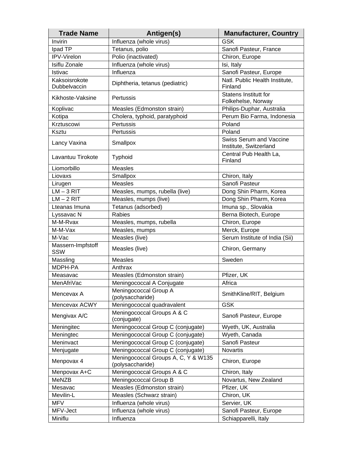| <b>Trade Name</b>             | Antigen(s)                                              | <b>Manufacturer, Country</b>                             |
|-------------------------------|---------------------------------------------------------|----------------------------------------------------------|
| Invirin                       | Influenza (whole virus)                                 | <b>GSK</b>                                               |
| Ipad TP                       | Tetanus, polio                                          | Sanofi Pasteur, France                                   |
| IPV-Virelon                   | Polio (inactivated)                                     | Chiron, Europe                                           |
| Isiflu Zonale                 | Influenza (whole virus)                                 | Isi, Italy                                               |
| Istivac                       | Influenza                                               | Sanofi Pasteur, Europe                                   |
| Kaksoisrokote<br>Dubbelvaccin | Diphtheria, tetanus (pediatric)                         | Natl. Public Health Institute,<br>Finland                |
| Kikhoste-Vaksine              | Pertussis                                               | <b>Statens Institutt for</b><br>Folkehelse, Norway       |
| Koplivac                      | Measles (Edmonston strain)                              | Philips-Duphar, Australia                                |
| Kotipa                        | Cholera, typhoid, paratyphoid                           | Perum Bio Farma, Indonesia                               |
| Krztuscowi                    | Pertussis                                               | Poland                                                   |
| Ksztu                         | Pertussis                                               | Poland                                                   |
| Lancy Vaxina                  | Smallpox                                                | <b>Swiss Serum and Vaccine</b><br>Institute, Switzerland |
| Lavantuu Tirokote             | Typhoid                                                 | Central Pub Health La,<br>Finland                        |
| Liomorbillo                   | <b>Measles</b>                                          |                                                          |
| Liovaxs                       | Smallpox                                                | Chiron, Italy                                            |
| Lirugen                       | <b>Measles</b>                                          | Sanofi Pasteur                                           |
| $LM - 3 RIT$                  | Measles, mumps, rubella (live)                          | Dong Shin Pharm, Korea                                   |
| $LM - 2 RIT$                  | Measles, mumps (live)                                   | Dong Shin Pharm, Korea                                   |
| Lteanas Imuna                 | Tetanus (adsorbed)                                      | Imuna sp., Slovakia                                      |
| Lyssavac N                    | Rabies                                                  | Berna Biotech, Europe                                    |
| M-M-Rvax                      | Measles, mumps, rubella                                 | Chiron, Europe                                           |
| M-M-Vax                       | Measles, mumps                                          | Merck, Europe                                            |
| M-Vac                         | Measles (live)                                          | Serum Institute of India (Sii)                           |
| Massern-Impfstoff<br>SSW      | Measles (live)                                          | Chiron, Germany                                          |
| Massling                      | <b>Measles</b>                                          | Sweden                                                   |
| MDPH-PA                       | Anthrax                                                 |                                                          |
| Measavac                      | Measles (Edmonston strain)                              | Pfizer, UK                                               |
| MenAfriVac                    | Meningococcal A Conjugate                               | Africa                                                   |
| Mencevax A                    | Meningococcal Group A<br>(polysaccharide)               | SmithKline/RIT, Belgium                                  |
| Mencevax ACWY                 | Meningococcal quadravalent                              | <b>GSK</b>                                               |
| Mengivax A/C                  | Meningococcal Groups A & C<br>(conjugate)               | Sanofi Pasteur, Europe                                   |
| Meningitec                    | Meningococcal Group C (conjugate)                       | Wyeth, UK, Australia                                     |
| Meningtec                     | Meningococcal Group C (conjugate)                       | Wyeth, Canada                                            |
| Meninvact                     | Meningococcal Group C (conjugate)                       | Sanofi Pasteur                                           |
| Menjugate                     | Meningococcal Group C (conjugate)                       | Novartis                                                 |
| Menpovax 4                    | Meningococcal Groups A, C, Y & W135<br>(polysaccharide) | Chiron, Europe                                           |
| Menpovax A+C                  | Meningococcal Groups A & C                              | Chiron, Italy                                            |
| <b>MeNZB</b>                  | Meningococcal Group B                                   | Novartus, New Zealand                                    |
| Mesavac                       | Measles (Edmonston strain)                              | Pfizer, UK                                               |
| Mevilin-L                     | Measles (Schwarz strain)                                | Chiron, UK                                               |
| <b>MFV</b>                    | Influenza (whole virus)                                 | Servier, UK                                              |
| MFV-Ject                      | Influenza (whole virus)                                 | Sanofi Pasteur, Europe                                   |
| Miniflu                       | Influenza                                               | Schiapparelli, Italy                                     |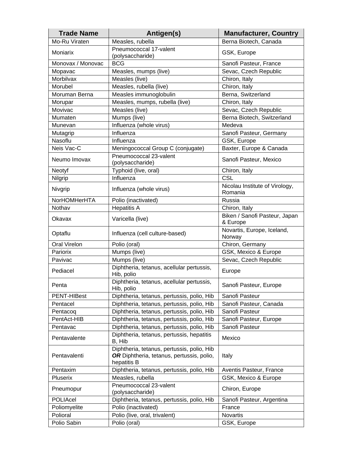| <b>Trade Name</b>   | Antigen(s)                                                                                             | <b>Manufacturer, Country</b>              |
|---------------------|--------------------------------------------------------------------------------------------------------|-------------------------------------------|
| Mo-Ru Viraten       | Measles, rubella                                                                                       | Berna Biotech, Canada                     |
| Moniarix            | Pneumococcal 17-valent<br>(polysaccharide)                                                             | GSK, Europe                               |
| Monovax / Monovac   | <b>BCG</b>                                                                                             | Sanofi Pasteur, France                    |
| Mopavac             | Measles, mumps (live)                                                                                  | Sevac, Czech Republic                     |
| Morbilvax           | Measles (live)                                                                                         | Chiron, Italy                             |
| Morubel             | Measles, rubella (live)                                                                                | Chiron, Italy                             |
| Moruman Berna       | Measles immunoglobulin                                                                                 | Berna, Switzerland                        |
| Morupar             | Measles, mumps, rubella (live)                                                                         | Chiron, Italy                             |
| Movivac             | Measles (live)                                                                                         | Sevac, Czech Republic                     |
| Mumaten             | Mumps (live)                                                                                           | Berna Biotech, Switzerland                |
| Munevan             | Influenza (whole virus)                                                                                | Medeva                                    |
| Mutagrip            | Influenza                                                                                              | Sanofi Pasteur, Germany                   |
| Nasoflu             | Influenza                                                                                              | GSK, Europe                               |
| Neis Vac-C          | Meningococcal Group C (conjugate)                                                                      | Baxter, Europe & Canada                   |
| Neumo Imovax        | Pneumococcal 23-valent<br>(polysaccharide)                                                             | Sanofi Pasteur, Mexico                    |
| Neotyf              | Typhoid (live, oral)                                                                                   | Chiron, Italy                             |
| Nilgrip             | Influenza                                                                                              | <b>CSL</b>                                |
|                     |                                                                                                        | Nicolau Institute of Virology,            |
| Nivgrip             | Influenza (whole virus)                                                                                | Romania                                   |
| NorHOMHerHTA        | Polio (inactivated)                                                                                    | Russia                                    |
| Nothav              | <b>Hepatitis A</b>                                                                                     | Chiron, Italy                             |
| Okavax              | Varicella (live)                                                                                       | Biken / Sanofi Pasteur, Japan<br>& Europe |
| Optaflu             | Influenza (cell culture-based)                                                                         | Novartis, Europe, Iceland,<br>Norway      |
| <b>Oral Virelon</b> | Polio (oral)                                                                                           | Chiron, Germany                           |
| Pariorix            | Mumps (live)                                                                                           | GSK, Mexico & Europe                      |
| Pavivac             | Mumps (live)                                                                                           | Sevac, Czech Republic                     |
| Pediacel            | Diphtheria, tetanus, acellular pertussis,<br>Hib, polio                                                | Europe                                    |
| Penta               | Diphtheria, tetanus, acellular pertussis,<br>Hib, polio                                                | Sanofi Pasteur, Europe                    |
| PENT-HIBest         | Diphtheria, tetanus, pertussis, polio, Hib                                                             | Sanofi Pasteur                            |
| Pentacel            | Diphtheria, tetanus, pertussis, polio, Hib                                                             | Sanofi Pasteur, Canada                    |
| Pentacog            | Diphtheria, tetanus, pertussis, polio, Hib                                                             | Sanofi Pasteur                            |
| PentAct-HIB         | Diphtheria, tetanus, pertussis, polio, Hib                                                             | Sanofi Pasteur, Europe                    |
| Pentavac            | Diphtheria, tetanus, pertussis, polio, Hib                                                             | Sanofi Pasteur                            |
| Pentavalente        | Diphtheria, tetanus, pertussis, hepatitis<br>B, Hib                                                    | Mexico                                    |
| Pentavalenti        | Diphtheria, tetanus, pertussis, polio, Hib<br>OR Diphtheria, tetanus, pertussis, polio,<br>hepatitis B | Italy                                     |
| Pentaxim            | Diphtheria, tetanus, pertussis, polio, Hib                                                             | Aventis Pasteur, France                   |
| Pluserix            | Measles, rubella                                                                                       | GSK, Mexico & Europe                      |
| Pneumopur           | Pneumococcal 23-valent<br>(polysaccharide)                                                             | Chiron, Europe                            |
| POLIAcel            | Diphtheria, tetanus, pertussis, polio, Hib                                                             | Sanofi Pasteur, Argentina                 |
| Poliomyelite        | Polio (inactivated)                                                                                    | France                                    |
| Polioral            | Polio (live, oral, trivalent)                                                                          | Novartis                                  |
| Polio Sabin         | Polio (oral)                                                                                           | GSK, Europe                               |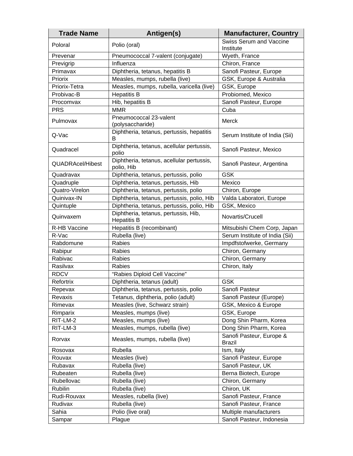| <b>Trade Name</b>       | Antigen(s)                                                 | <b>Manufacturer, Country</b>                |
|-------------------------|------------------------------------------------------------|---------------------------------------------|
| Poloral                 | Polio (oral)                                               | <b>Swiss Serum and Vaccine</b><br>Institute |
| Prevenar                | Pneumococcal 7-valent (conjugate)                          | Wyeth, France                               |
| Previgrip               | Influenza                                                  | Chiron, France                              |
| Primavax                | Diphtheria, tetanus, hepatitis B                           | Sanofi Pasteur, Europe                      |
| Priorix                 | Measles, mumps, rubella (live)                             | GSK, Europe & Australia                     |
| Priorix-Tetra           | Measles, mumps, rubella, varicella (live)                  | GSK, Europe                                 |
| Probivac-B              | <b>Hepatitis B</b>                                         | Probiomed, Mexico                           |
| Procomvax               | Hib, hepatitis B                                           | Sanofi Pasteur, Europe                      |
| <b>PRS</b>              | <b>MMR</b>                                                 | Cuba                                        |
| Pulmovax                | Pneumococcal 23-valent<br>(polysaccharide)                 | Merck                                       |
| Q-Vac                   | Diphtheria, tetanus, pertussis, hepatitis<br>В             | Serum Institute of India (Sii)              |
| Quadracel               | Diphtheria, tetanus, acellular pertussis,<br>polio         | Sanofi Pasteur, Mexico                      |
| <b>QUADRAcel/Hibest</b> | Diphtheria, tetanus, acellular pertussis,<br>polio, Hib    | Sanofi Pasteur, Argentina                   |
| Quadravax               | Diphtheria, tetanus, pertussis, polio                      | <b>GSK</b>                                  |
| Quadruple               | Diphtheria, tetanus, pertussis, Hib                        | Mexico                                      |
| Quatro-Virelon          | Diphtheria, tetanus, pertussis, polio                      | Chiron, Europe                              |
| Quinivax-IN             | Diphtheria, tetanus, pertussis, polio, Hib                 | Valda Laboratori, Europe                    |
| Quintuple               | Diphtheria, tetanus, pertussis, polio, Hib                 | GSK, Mexico                                 |
| Quinvaxem               | Diphtheria, tetanus, pertussis, Hib,<br><b>Hepatitis B</b> | Novartis/Crucell                            |
| R-HB Vaccine            | Hepatitis B (recombinant)                                  | Mitsubishi Chem Corp, Japan                 |
| R-Vac                   | Rubella (live)                                             | Serum Institute of India (Sii)              |
| Rabdomune               | Rabies                                                     | Impdfstofwerke, Germany                     |
| Rabipur                 | Rabies                                                     | Chiron, Germany                             |
| Rabivac                 | Rabies                                                     | Chiron, Germany                             |
| Rasilvax                | Rabies                                                     | Chiron, Italy                               |
| <b>RDCV</b>             | "Rabies Diploid Cell Vaccine"                              |                                             |
| Refortrix               | Diphtheria, tetanus (adult)                                | <b>GSK</b>                                  |
| Repevax                 | Diphtheria, tetanus, pertussis, polio                      | Sanofi Pasteur                              |
| Revaxis                 | Tetanus, diphtheria, polio (adult)                         | Sanofi Pasteur (Europe)                     |
| Rimevax                 | Measles (live, Schwarz strain)                             | GSK, Mexico & Europe                        |
| Rimparix                | Measles, mumps (live)                                      | GSK, Europe                                 |
| RIT-LM-2                | Measles, mumps (live)                                      | Dong Shin Pharm, Korea                      |
| RIT-LM-3                | Measles, mumps, rubella (live)                             | Dong Shin Pharm, Korea                      |
| Rorvax                  | Measles, mumps, rubella (live)                             | Sanofi Pasteur, Europe &<br><b>Brazil</b>   |
| Rosovax                 | Rubella                                                    | Ism, Italy                                  |
| Rouvax                  | Measles (live)                                             | Sanofi Pasteur, Europe                      |
| Rubavax                 | Rubella (live)                                             | Sanofi Pasteur, UK                          |
| Rubeaten                | Rubella (live)                                             | Berna Biotech, Europe                       |
| Rubellovac              | Rubella (live)                                             | Chiron, Germany                             |
| Rubilin                 | Rubella (live)                                             | Chiron, UK                                  |
| Rudi-Rouvax             | Measles, rubella (live)                                    | Sanofi Pasteur, France                      |
| Rudivax                 | Rubella (live)                                             | Sanofi Pasteur, France                      |
| Sahia                   | Polio (live oral)                                          | Multiple manufacturers                      |
| Sampar                  | Plague                                                     | Sanofi Pasteur, Indonesia                   |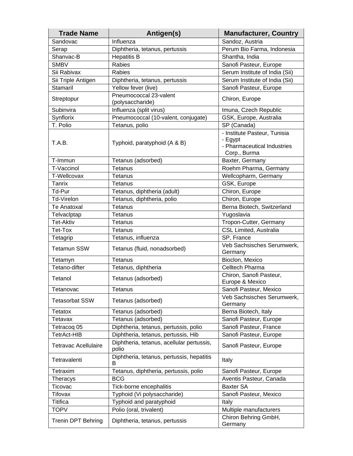| <b>Trade Name</b>           | Antigen(s)                                         | <b>Manufacturer, Country</b>                                                           |
|-----------------------------|----------------------------------------------------|----------------------------------------------------------------------------------------|
| Sandovac                    | Influenza                                          | Sandoz, Austria                                                                        |
| Serap                       | Diphtheria, tetanus, pertussis                     | Perum Bio Farma, Indonesia                                                             |
| Shanvac-B                   | <b>Hepatitis B</b>                                 | Shantha, India                                                                         |
| <b>SMBV</b>                 | <b>Rabies</b>                                      | Sanofi Pasteur, Europe                                                                 |
| Sii Rabivax                 | Rabies                                             | Serum Institute of India (Sii)                                                         |
| Sii Triple Antigen          | Diphtheria, tetanus, pertussis                     | Serum Institute of India (Sii)                                                         |
| Stamaril                    | Yellow fever (live)                                | Sanofi Pasteur, Europe                                                                 |
| Streptopur                  | Pneumococcal 23-valent<br>(polysaccharide)         | Chiron, Europe                                                                         |
| Subinvira                   | Influenza (split virus)                            | Imuna, Czech Republic                                                                  |
| Synflorix                   | Pneumococcal (10-valent, conjugate)                | GSK, Europe, Australia                                                                 |
| T. Polio                    | Tetanus, polio                                     | SP (Canada)                                                                            |
| T.A.B.                      | Typhoid, paratyphoid (A & B)                       | - Institute Pasteur, Tunisia<br>- Egypt<br>- Pharmaceutical Industries<br>Corp., Burma |
| T-Immun                     | Tetanus (adsorbed)                                 | Baxter, Germany                                                                        |
| T-Vaccinol                  | Tetanus                                            | Roehm Pharma, Germany                                                                  |
| T-Wellcovax                 | Tetanus                                            | Wellcopharm, Germany                                                                   |
| Tanrix                      | Tetanus                                            | GSK, Europe                                                                            |
| Td-Pur                      | Tetanus, diphtheria (adult)                        | Chiron, Europe                                                                         |
| <b>Td-Virelon</b>           | Tetanus, diphtheria, polio                         | Chiron, Europe                                                                         |
| <b>Te Anatoxal</b>          | Tetanus                                            | Berna Biotech, Switzerland                                                             |
| Telvaclptap                 | Tetanus                                            | Yugoslavia                                                                             |
| <b>Tet-Aktiv</b>            | Tetanus                                            | Tropon-Cutter, Germany                                                                 |
| Tet-Tox                     | Tetanus                                            | <b>CSL Limited, Australia</b>                                                          |
| Tetagrip                    | Tetanus, influenza                                 | SP, France                                                                             |
| <b>Tetamun SSW</b>          | Tetanus (fluid, nonadsorbed)                       | Veb Sachsisches Serumwerk,<br>Germany                                                  |
| Tetamyn                     | <b>Tetanus</b>                                     | Bioclon, Mexico                                                                        |
| Tetano-difter               | Tetanus, diphtheria                                | <b>Celltech Pharma</b>                                                                 |
| Tetanol                     | Tetanus (adsorbed)                                 | Chiron, Sanofi Pasteur,<br>Europe & Mexico                                             |
| Tetanovac                   | <b>Tetanus</b>                                     | Sanofi Pasteur, Mexico                                                                 |
| <b>Tetasorbat SSW</b>       | Tetanus (adsorbed)                                 | Veb Sachsisches Serumwerk,<br>Germany                                                  |
| Tetatox                     | Tetanus (adsorbed)                                 | Berna Biotech, Italy                                                                   |
| Tetavax                     | Tetanus (adsorbed)                                 | Sanofi Pasteur, Europe                                                                 |
| Tetracog 05                 | Diphtheria, tetanus, pertussis, polio              | Sanofi Pasteur, France                                                                 |
| <b>TetrAct-HIB</b>          | Diphtheria, tetanus, pertussis, Hib                | Sanofi Pasteur, Europe                                                                 |
| <b>Tetravac Acellulaire</b> | Diphtheria, tetanus, acellular pertussis,<br>polio | Sanofi Pasteur, Europe                                                                 |
| Tetravalenti                | Diphtheria, tetanus, pertussis, hepatitis<br>В     | Italy                                                                                  |
| Tetraxim                    | Tetanus, diphtheria, pertussis, polio              | Sanofi Pasteur, Europe                                                                 |
| <b>Theracys</b>             | <b>BCG</b>                                         | Aventis Pasteur, Canada                                                                |
| Ticovac                     | Tick-borne encephalitis                            | <b>Baxter SA</b>                                                                       |
| Tifovax                     | Typhoid (Vi polysaccharide)                        | Sanofi Pasteur, Mexico                                                                 |
| <b>Titifica</b>             | Typhoid and paratyphoid                            | Italy                                                                                  |
| <b>TOPV</b>                 | Polio (oral, trivalent)                            | Multiple manufacturers                                                                 |
| <b>Trenin DPT Behring</b>   | Diphtheria, tetanus, pertussis                     | Chiron Behring GmbH,<br>Germany                                                        |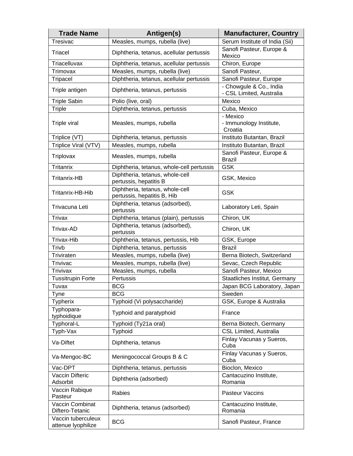| <b>Trade Name</b>                        | Antigen(s)                                                     | <b>Manufacturer, Country</b>                        |
|------------------------------------------|----------------------------------------------------------------|-----------------------------------------------------|
| Tresivac                                 | Measles, mumps, rubella (live)                                 | Serum Institute of India (Sii)                      |
| Triacel                                  | Diphtheria, tetanus, acellular pertussis                       | Sanofi Pasteur, Europe &<br>Mexico                  |
| Triacelluvax                             | Diphtheria, tetanus, acellular pertussis                       | Chiron, Europe                                      |
| Trimovax                                 | Measles, mumps, rubella (live)                                 | Sanofi Pasteur,                                     |
| <b>Tripacel</b>                          | Diphtheria, tetanus, acellular pertussis                       | Sanofi Pasteur, Europe                              |
| Triple antigen                           | Diphtheria, tetanus, pertussis                                 | - Chowgule & Co., India<br>- CSL Limited, Australia |
| <b>Triple Sabin</b>                      | Polio (live, oral)                                             | Mexico                                              |
| <b>Triple</b>                            | Diphtheria, tetanus, pertussis                                 | Cuba, Mexico                                        |
| Triple viral                             | Measles, mumps, rubella                                        | - Mexico<br>- Immunology Institute,<br>Croatia      |
| Triplice (VT)                            | Diphtheria, tetanus, pertussis                                 | Instituto Butantan, Brazil                          |
| Triplice Viral (VTV)                     | Measles, mumps, rubella                                        | Instituto Butantan, Brazil                          |
| Triplovax                                | Measles, mumps, rubella                                        | Sanofi Pasteur, Europe &<br><b>Brazil</b>           |
| <b>Tritanrix</b>                         | Diphtheria, tetanus, whole-cell pertussis                      | <b>GSK</b>                                          |
| <b>Tritanrix-HB</b>                      | Diphtheria, tetanus, whole-cell<br>pertussis, hepatitis B      | GSK, Mexico                                         |
| Tritanrix-HB-Hib                         | Diphtheria, tetanus, whole-cell<br>pertussis, hepatitis B, Hib | <b>GSK</b>                                          |
| Trivacuna Leti                           | Diphtheria, tetanus (adsorbed),<br>pertussis                   | Laboratory Leti, Spain                              |
| Trivax                                   | Diphtheria, tetanus (plain), pertussis                         | Chiron, UK                                          |
| Trivax-AD                                | Diphtheria, tetanus (adsorbed),<br>pertussis                   | Chiron, UK                                          |
| Trivax-Hib                               | Diphtheria, tetanus, pertussis, Hib                            | GSK, Europe                                         |
| Trivb                                    | Diphtheria, tetanus, pertussis                                 | <b>Brazil</b>                                       |
| Triviraten                               | Measles, mumps, rubella (live)                                 | Berna Biotech, Switzerland                          |
| <b>Trivivac</b>                          | Measles, mumps, rubella (live)                                 | Sevac, Czech Republic                               |
| <b>Trivivax</b>                          | Measles, mumps, rubella                                        | Sanofi Pasteur, Mexico                              |
| <b>Tussitrupin Forte</b>                 | Pertussis                                                      | Staatliches Institut, Germany                       |
| Tuvax                                    | <b>BCG</b>                                                     | Japan BCG Laboratory, Japan                         |
| Tyne                                     | <b>BCG</b>                                                     | Sweden                                              |
| <b>Typherix</b>                          | Typhoid (Vi polysaccharide)                                    | GSK, Europe & Australia                             |
| Typhopara-<br>typhoidique                | Typhoid and paratyphoid                                        | France                                              |
| Typhoral-L                               | Typhoid (Ty21a oral)                                           | Berna Biotech, Germany                              |
| Typh-Vax                                 | Typhoid                                                        | <b>CSL Limited, Australia</b>                       |
| Va-Diftet                                | Diphtheria, tetanus                                            | Finlay Vacunas y Sueros,<br>Cuba                    |
| Va-Mengoc-BC                             | Meningococcal Groups B & C                                     | Finlay Vacunas y Sueros,<br>Cuba                    |
| Vac-DPT                                  | Diphtheria, tetanus, pertussis                                 | Bioclon, Mexico                                     |
| Vaccin Difteric<br>Adsorbit              | Diphtheria (adsorbed)                                          | Cantacuzino Institute,<br>Romania                   |
| Vaccin Rabique<br>Pasteur                | Rabies                                                         | Pasteur Vaccins                                     |
| Vaccin Combinat<br>Diftero-Tetanic       | Diphtheria, tetanus (adsorbed)                                 | Cantacuzino Institute,<br>Romania                   |
| Vaccin tuberculeux<br>attenue lyophilize | <b>BCG</b>                                                     | Sanofi Pasteur, France                              |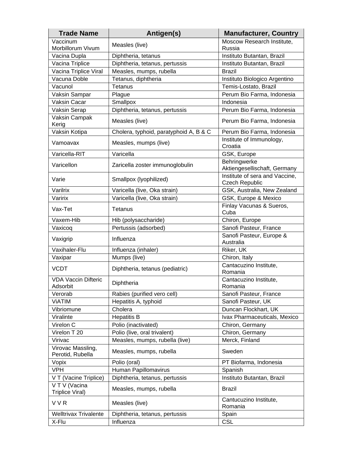| <b>Trade Name</b>                      | Antigen(s)                             | <b>Manufacturer, Country</b>                            |
|----------------------------------------|----------------------------------------|---------------------------------------------------------|
| Vaccinum<br>Morbillorum Vivum          | Measles (live)                         | Moscow Research Institute,<br>Russia                    |
| Vacina Dupla                           | Diphtheria, tetanus                    | Instituto Butantan, Brazil                              |
| Vacina Triplice                        | Diphtheria, tetanus, pertussis         | Instituto Butantan, Brazil                              |
| Vacina Triplice Viral                  | Measles, mumps, rubella                | <b>Brazil</b>                                           |
| Vacuna Doble                           | Tetanus, diphtheria                    | Instituto Biologico Argentino                           |
| Vacunol                                | <b>Tetanus</b>                         | Temis-Lostato, Brazil                                   |
| Vaksin Sampar                          | Plague                                 | Perum Bio Farma, Indonesia                              |
| Vaksin Cacar                           | Smallpox                               | Indonesia                                               |
| <b>Vaksin Serap</b>                    | Diphtheria, tetanus, pertussis         | Perum Bio Farma, Indonesia                              |
| Vaksin Campak<br>Kerig                 | Measles (live)                         | Perum Bio Farma, Indonesia                              |
| Vaksin Kotipa                          | Cholera, typhoid, paratyphoid A, B & C | Perum Bio Farma, Indonesia                              |
| Vamoavax                               | Measles, mumps (live)                  | Institute of Immunology,<br>Croatia                     |
| Varicella-RIT                          | Varicella                              | GSK, Europe                                             |
| Varicellon                             | Zaricella zoster immunoglobulin        | Behringwerke<br>Aktiengesellischaft, Germany            |
| Varie                                  | Smallpox (lyophilized)                 | Institute of sera and Vaccine,<br><b>Czech Republic</b> |
| Varilrix                               | Varicella (live, Oka strain)           | GSK, Australia, New Zealand                             |
| Varirix                                | Varicella (live, Oka strain)           | GSK, Europe & Mexico                                    |
| Vax-Tet                                | <b>Tetanus</b>                         | Finlay Vacunas & Sueros,<br>Cuba                        |
| Vaxem-Hib                              | Hib (polysaccharide)                   | Chiron, Europe                                          |
| Vaxicoq                                | Pertussis (adsorbed)                   | Sanofi Pasteur, France                                  |
| Vaxigrip                               | Influenza                              | Sanofi Pasteur, Europe &<br>Australia                   |
| Vaxihaler-Flu                          | Influenza (inhaler)                    | Riker, UK                                               |
| Vaxipar                                | Mumps (live)                           | Chiron, Italy                                           |
| <b>VCDT</b>                            | Diphtheria, tetanus (pediatric)        | Cantacuzino Institute,<br>Romania                       |
| <b>VDA Vaccin Difteric</b><br>Adsorbit | Diphtheria                             | Cantacuzino Institute,<br>Romania                       |
| Verorab                                | Rabies (purified vero cell)            | Sanofi Pasteur, France                                  |
| <b>VIATIM</b>                          | Hepatitis A, typhoid                   | Sanofi Pasteur, UK                                      |
| Vibriomune                             | Cholera                                | Duncan Flockhart, UK                                    |
| Viralinte                              | <b>Hepatitis B</b>                     | Ivax Pharmaceuticals, Mexico                            |
| Virelon C                              | Polio (inactivated)                    | Chiron, Germany                                         |
| Virelon T 20                           | Polio (live, oral trivalent)           | Chiron, Germany                                         |
| Virivac                                | Measles, mumps, rubella (live)         | Merck, Finland                                          |
| Virovac Massling,<br>Perotid, Rubella  | Measles, mumps, rubella                | Sweden                                                  |
| Vopix                                  | Polio (oral)                           | PT Biofarma, Indonesia                                  |
| <b>VPH</b>                             | Human Papillomavirus                   | Spanish                                                 |
| V T (Vacine Triplice)                  | Diphtheria, tetanus, pertussis         | Instituto Butantan, Brazil                              |
| V T V (Vacina<br>Triplice Viral)       | Measles, mumps, rubella                | Brazil                                                  |
| <b>VVR</b>                             | Measles (live)                         | Cantucuzino Institute,<br>Romania                       |
| <b>Welltrivax Trivalente</b>           | Diphtheria, tetanus, pertussis         | Spain                                                   |
| X-Flu                                  | Influenza                              | <b>CSL</b>                                              |